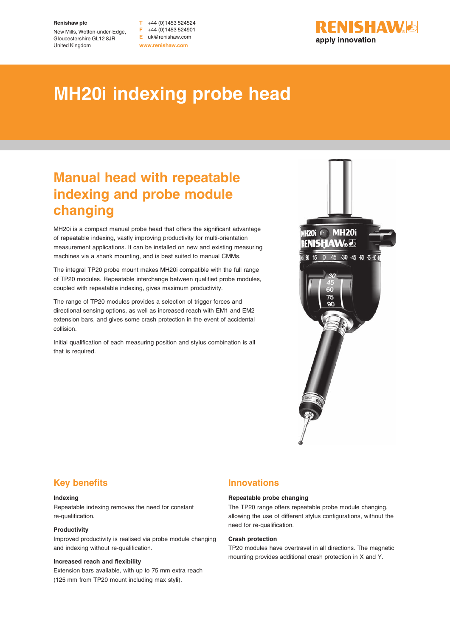#### **Renishaw plc**

New Mills, Wotton-under-Edge, Gloucestershire GL12 8JR United Kingdom

**T** +44 (0)1453 524524 **F** +44 (0)1453 524901 **E** uk@renishaw.com **www.renishaw.com**



# **MH20i indexing probe head**

## **Manual head with repeatable indexing and probe module changing**

MH20i is a compact manual probe head that offers the significant advantage of repeatable indexing, vastly improving productivity for multi-orientation measurement applications. It can be installed on new and existing measuring machines via a shank mounting, and is best suited to manual CMMs.

The integral TP20 probe mount makes MH20i compatible with the full range of TP20 modules. Repeatable interchange between qualified probe modules, coupled with repeatable indexing, gives maximum productivity.

The range of TP20 modules provides a selection of trigger forces and directional sensing options, as well as increased reach with EM1 and EM2 extension bars, and gives some crash protection in the event of accidental collision.

Initial qualification of each measuring position and stylus combination is all that is required.



## **Key benefits**

#### **Indexing**

Repeatable indexing removes the need for constant re-qualification.

#### **Productivity**

Improved productivity is realised via probe module changing and indexing without re-qualification.

#### **Increased reach and flexibility**

Extension bars available, with up to 75 mm extra reach (125 mm from TP20 mount including max styli).

### **Innovations**

#### **Repeatable probe changing**

The TP20 range offers repeatable probe module changing, allowing the use of different stylus configurations, without the need for re-qualification.

#### **Crash protection**

TP20 modules have overtravel in all directions. The magnetic mounting provides additional crash protection in X and Y.